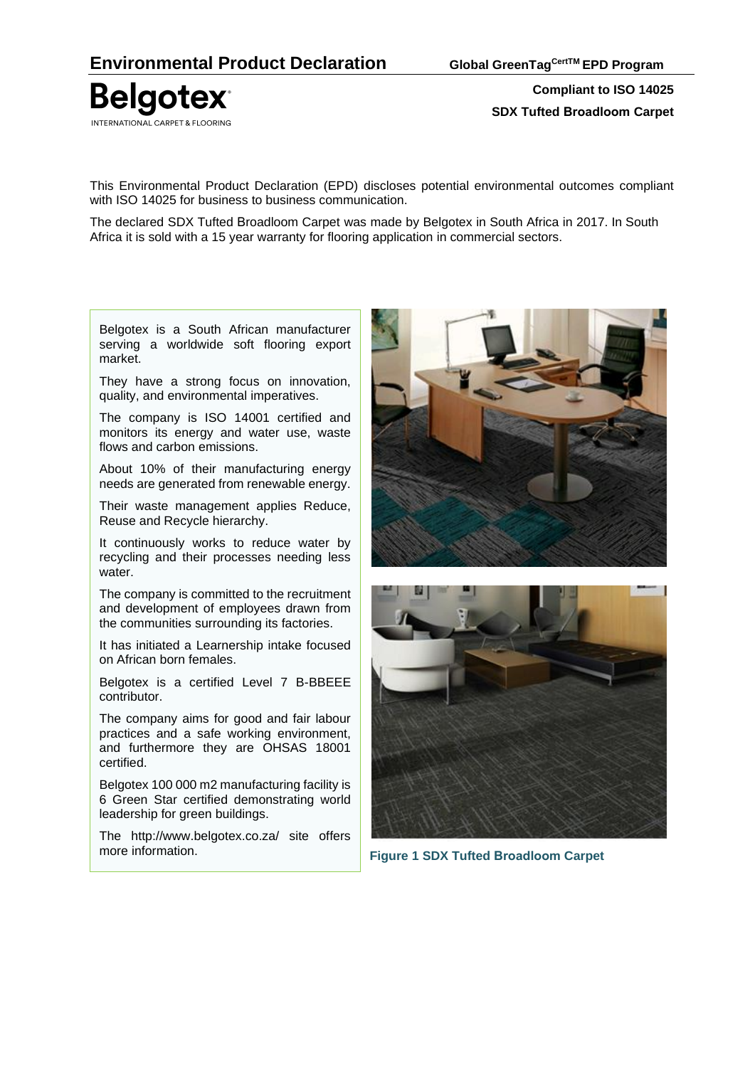**Belgotex** INTERNATIONAL CARPET & FLOORING

**Compliant to ISO 14025 SDX Tufted Broadloom Carpet**

This Environmental Product Declaration (EPD) discloses potential environmental outcomes compliant with ISO 14025 for business to business communication.

The declared SDX Tufted Broadloom Carpet was made by Belgotex in South Africa in 2017. In South Africa it is sold with a 15 year warranty for flooring application in commercial sectors.

Belgotex is a South African manufacturer serving a worldwide soft flooring export market.

They have a strong focus on innovation, quality, and environmental imperatives.

The company is ISO 14001 certified and monitors its energy and water use, waste flows and carbon emissions.

About 10% of their manufacturing energy needs are generated from renewable energy.

Their waste management applies Reduce, Reuse and Recycle hierarchy.

It continuously works to reduce water by recycling and their processes needing less water.

The company is committed to the recruitment and development of employees drawn from the communities surrounding its factories.

It has initiated a Learnership intake focused on African born females.

Belgotex is a certified Level 7 B-BBEEE contributor.

The company aims for good and fair labour practices and a safe working environment, and furthermore they are OHSAS 18001 certified.

Belgotex 100 000 m2 manufacturing facility is 6 Green Star certified demonstrating world leadership for green buildings.

The http://www.belgotex.co.za/ site offers more information.





**Figure 1 SDX Tufted Broadloom Carpet**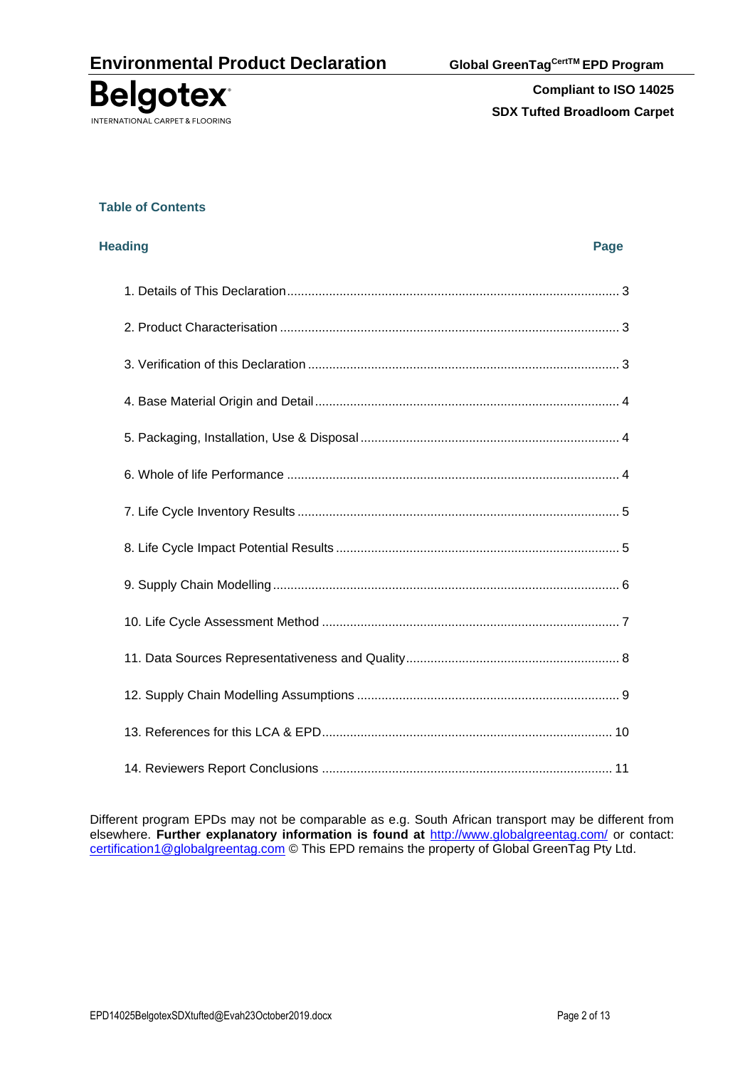

### **Table of Contents**

| <b>Heading</b> | Page |
|----------------|------|
|                |      |
|                |      |
|                |      |
|                |      |
|                |      |
|                |      |
|                |      |
|                |      |
|                |      |
|                |      |
|                |      |
|                |      |
|                |      |
|                |      |

Different program EPDs may not be comparable as e.g. South African transport may be different from elsewhere. **Further explanatory information is found at** <http://www.globalgreentag.com/> or contact: [certification1@globalgreentag.com](mailto:certification1@globalgreentag.com)</u> © This EPD remains the property of Global GreenTag Pty Ltd.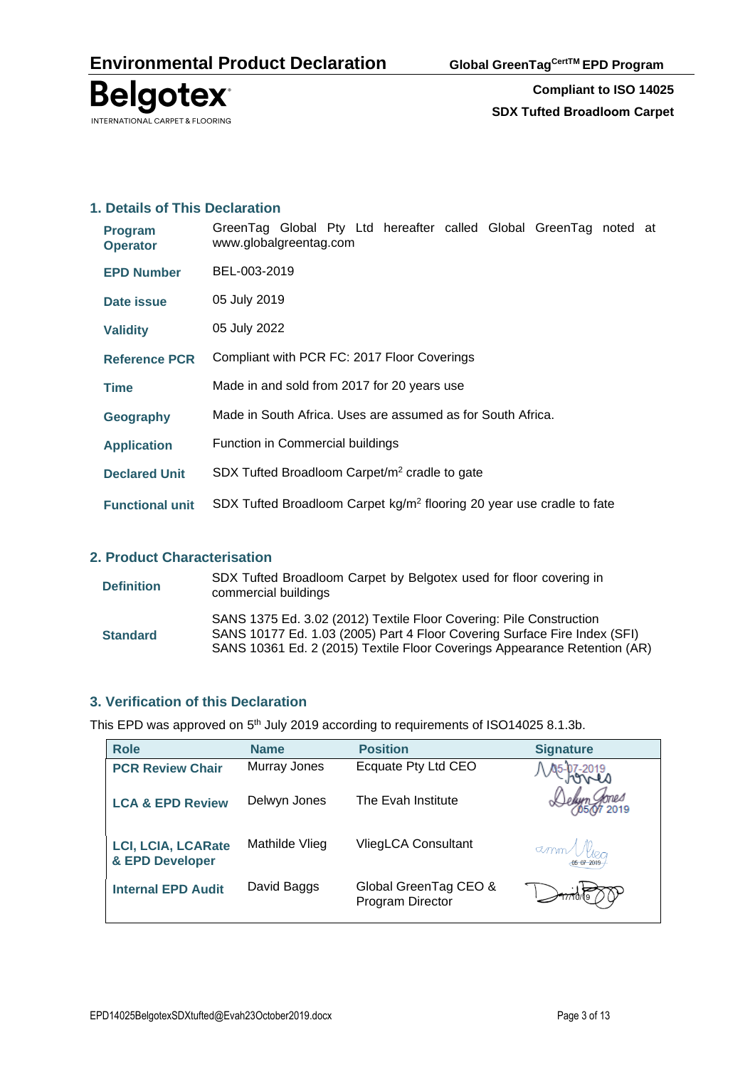

## **1. Details of This Declaration**

| <b>Program</b><br><b>Operator</b> | GreenTag Global Pty Ltd hereafter called Global GreenTag noted at<br>www.globalgreentag.com |  |  |  |  |  |  |  |  |  |  |
|-----------------------------------|---------------------------------------------------------------------------------------------|--|--|--|--|--|--|--|--|--|--|
| <b>EPD Number</b>                 | BEL-003-2019                                                                                |  |  |  |  |  |  |  |  |  |  |
| Date issue                        | 05 July 2019                                                                                |  |  |  |  |  |  |  |  |  |  |
| <b>Validity</b>                   | 05 July 2022                                                                                |  |  |  |  |  |  |  |  |  |  |
| <b>Reference PCR</b>              | Compliant with PCR FC: 2017 Floor Coverings                                                 |  |  |  |  |  |  |  |  |  |  |
| <b>Time</b>                       | Made in and sold from 2017 for 20 years use                                                 |  |  |  |  |  |  |  |  |  |  |
| Geography                         | Made in South Africa. Uses are assumed as for South Africa.                                 |  |  |  |  |  |  |  |  |  |  |
| <b>Application</b>                | Function in Commercial buildings                                                            |  |  |  |  |  |  |  |  |  |  |
| <b>Declared Unit</b>              | SDX Tufted Broadloom Carpet/m <sup>2</sup> cradle to gate                                   |  |  |  |  |  |  |  |  |  |  |
| <b>Functional unit</b>            | SDX Tufted Broadloom Carpet kg/m <sup>2</sup> flooring 20 year use cradle to fate           |  |  |  |  |  |  |  |  |  |  |

# **2. Product Characterisation**

| <b>Definition</b> | SDX Tufted Broadloom Carpet by Belgotex used for floor covering in<br>commercial buildings                                                                                                                                    |
|-------------------|-------------------------------------------------------------------------------------------------------------------------------------------------------------------------------------------------------------------------------|
| <b>Standard</b>   | SANS 1375 Ed. 3.02 (2012) Textile Floor Covering: Pile Construction<br>SANS 10177 Ed. 1.03 (2005) Part 4 Floor Covering Surface Fire Index (SFI)<br>SANS 10361 Ed. 2 (2015) Textile Floor Coverings Appearance Retention (AR) |

## **3. Verification of this Declaration**

This EPD was approved on  $5<sup>th</sup>$  July 2019 according to requirements of ISO14025 8.1.3b.

| <b>Role</b>                                  | <b>Name</b>    | <b>Position</b>                           | <b>Signature</b>     |
|----------------------------------------------|----------------|-------------------------------------------|----------------------|
| <b>PCR Review Chair</b>                      | Murray Jones   | Ecquate Pty Ltd CEO                       |                      |
| <b>LCA &amp; EPD Review</b>                  | Delwyn Jones   | The Evah Institute                        |                      |
| <b>LCI, LCIA, LCARate</b><br>& EPD Developer | Mathilde Vlieg | VliegLCA Consultant                       | $\alpha$ mm $M_{20}$ |
| <b>Internal EPD Audit</b>                    | David Baggs    | Global GreenTag CEO &<br>Program Director |                      |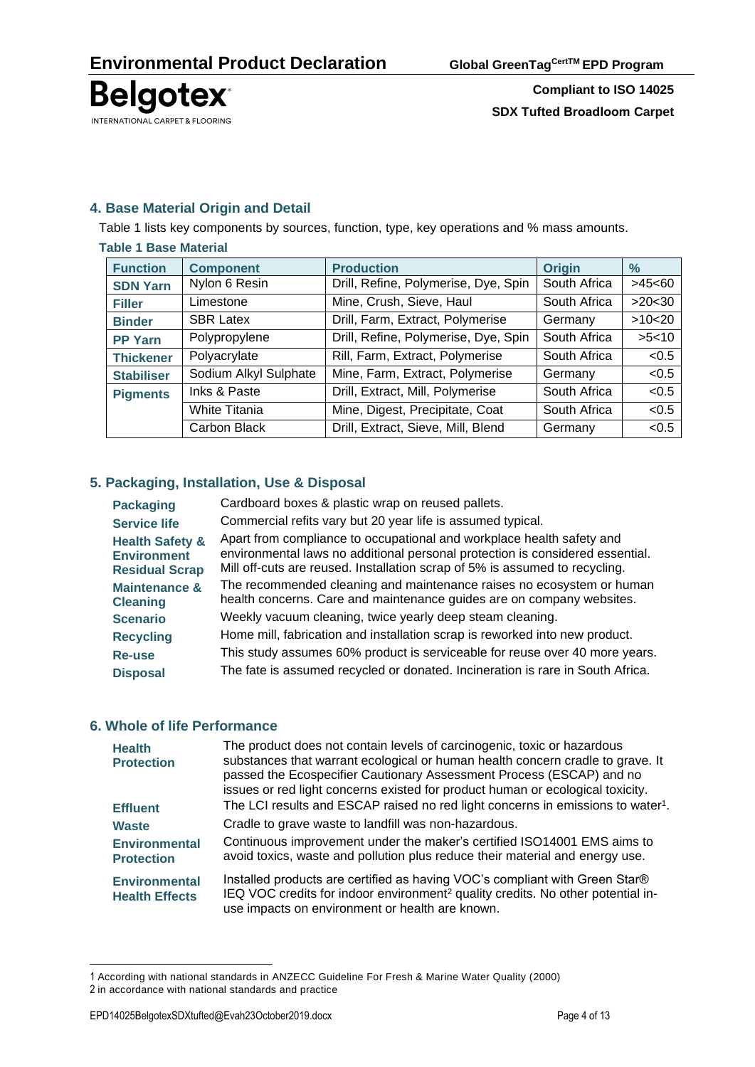

# **4. Base Material Origin and Detail**

Table 1 lists key components by sources, function, type, key operations and % mass amounts.

| <b>Table 1 Base Material</b> |                       |                                      |               |               |
|------------------------------|-----------------------|--------------------------------------|---------------|---------------|
| <b>Function</b>              | <b>Component</b>      | <b>Production</b>                    | <b>Origin</b> | $\frac{9}{6}$ |
| <b>SDN Yarn</b>              | Nylon 6 Resin         | Drill, Refine, Polymerise, Dye, Spin | South Africa  | >45<60        |
| <b>Filler</b>                | Limestone             | Mine, Crush, Sieve, Haul             | South Africa  | >20<30        |
| <b>Binder</b>                | <b>SBR Latex</b>      | Drill, Farm, Extract, Polymerise     | Germany       | >10<20        |
| <b>PP Yarn</b>               | Polypropylene         | Drill, Refine, Polymerise, Dye, Spin | South Africa  | >5<10         |
| <b>Thickener</b>             | Polyacrylate          | Rill, Farm, Extract, Polymerise      | South Africa  | < 0.5         |
| <b>Stabiliser</b>            | Sodium Alkyl Sulphate | Mine, Farm, Extract, Polymerise      | Germany       | < 0.5         |
| <b>Pigments</b>              | Inks & Paste          | Drill, Extract, Mill, Polymerise     | South Africa  | < 0.5         |
|                              | <b>White Titania</b>  | Mine, Digest, Precipitate, Coat      | South Africa  | < 0.5         |
|                              | Carbon Black          | Drill, Extract, Sieve, Mill, Blend   | Germany       | <0.5          |

## **5. Packaging, Installation, Use & Disposal**

| <b>Packaging</b>                                                          | Cardboard boxes & plastic wrap on reused pallets.                                                                                                                                                                                     |
|---------------------------------------------------------------------------|---------------------------------------------------------------------------------------------------------------------------------------------------------------------------------------------------------------------------------------|
| <b>Service life</b>                                                       | Commercial refits vary but 20 year life is assumed typical.                                                                                                                                                                           |
| <b>Health Safety &amp;</b><br><b>Environment</b><br><b>Residual Scrap</b> | Apart from compliance to occupational and workplace health safety and<br>environmental laws no additional personal protection is considered essential.<br>Mill off-cuts are reused. Installation scrap of 5% is assumed to recycling. |
| <b>Maintenance &amp;</b><br><b>Cleaning</b>                               | The recommended cleaning and maintenance raises no ecosystem or human<br>health concerns. Care and maintenance guides are on company websites.                                                                                        |
| <b>Scenario</b>                                                           | Weekly vacuum cleaning, twice yearly deep steam cleaning.                                                                                                                                                                             |
| <b>Recycling</b>                                                          | Home mill, fabrication and installation scrap is reworked into new product.                                                                                                                                                           |
| Re-use                                                                    | This study assumes 60% product is serviceable for reuse over 40 more years.                                                                                                                                                           |
| <b>Disposal</b>                                                           | The fate is assumed recycled or donated. Incineration is rare in South Africa.                                                                                                                                                        |

### **6. Whole of life Performance**

| <b>Health</b><br><b>Protection</b>            | The product does not contain levels of carcinogenic, toxic or hazardous<br>substances that warrant ecological or human health concern cradle to grave. It<br>passed the Ecospecifier Cautionary Assessment Process (ESCAP) and no<br>issues or red light concerns existed for product human or ecological toxicity. |
|-----------------------------------------------|---------------------------------------------------------------------------------------------------------------------------------------------------------------------------------------------------------------------------------------------------------------------------------------------------------------------|
| <b>Effluent</b>                               | The LCI results and ESCAP raised no red light concerns in emissions to water <sup>1</sup> .                                                                                                                                                                                                                         |
| <b>Waste</b>                                  | Cradle to grave waste to landfill was non-hazardous.                                                                                                                                                                                                                                                                |
| <b>Environmental</b><br><b>Protection</b>     | Continuous improvement under the maker's certified ISO14001 EMS aims to<br>avoid toxics, waste and pollution plus reduce their material and energy use.                                                                                                                                                             |
| <b>Environmental</b><br><b>Health Effects</b> | Installed products are certified as having VOC's compliant with Green Star®<br>IEQ VOC credits for indoor environment <sup>2</sup> quality credits. No other potential in-<br>use impacts on environment or health are known.                                                                                       |

<sup>1</sup> According with national standards in ANZECC Guideline For Fresh & Marine Water Quality (2000) 2 in accordance with national standards and practice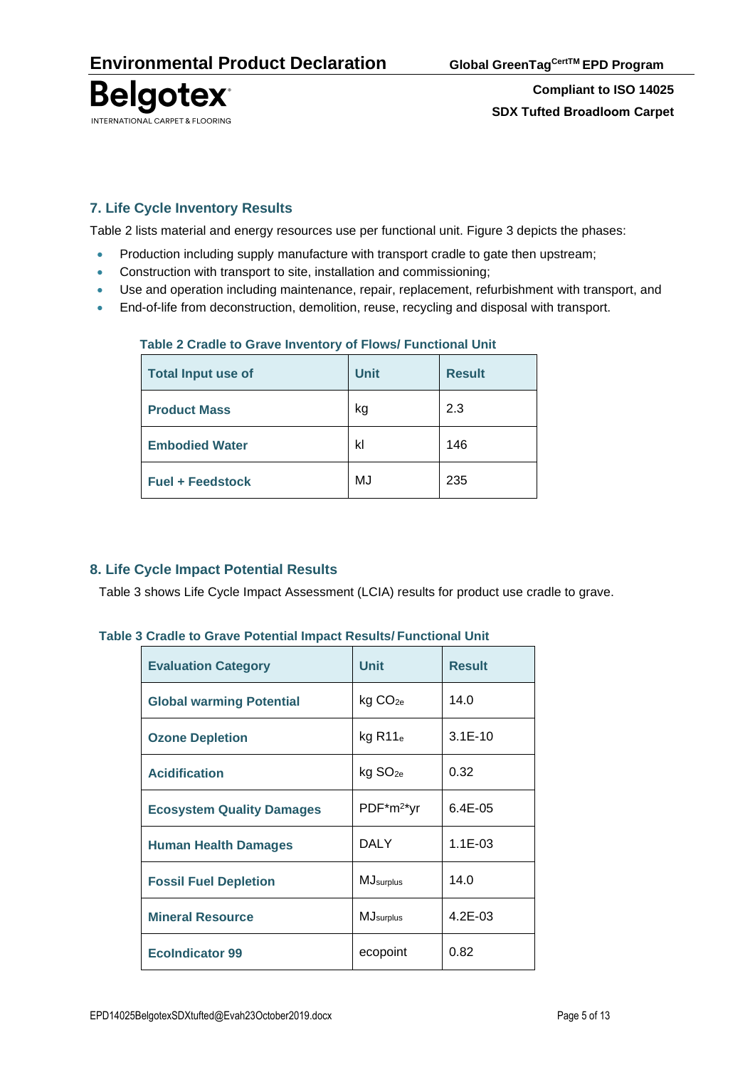

# **7. Life Cycle Inventory Results**

Table 2 lists material and energy resources use per functional unit. Figure 3 depicts the phases:

- Production including supply manufacture with transport cradle to gate then upstream;
- Construction with transport to site, installation and commissioning;
- Use and operation including maintenance, repair, replacement, refurbishment with transport, and
- End-of-life from deconstruction, demolition, reuse, recycling and disposal with transport.

| <b>Total Input use of</b> | <b>Unit</b> | <b>Result</b> |
|---------------------------|-------------|---------------|
| <b>Product Mass</b>       | kg          | 2.3           |
| <b>Embodied Water</b>     | kl          | 146           |
| <b>Fuel + Feedstock</b>   | MJ          | 235           |

## **Table 2 Cradle to Grave Inventory of Flows/ Functional Unit**

# **8. Life Cycle Impact Potential Results**

Table 3 shows Life Cycle Impact Assessment (LCIA) results for product use cradle to grave.

### **Table 3 Cradle to Grave Potential Impact Results/ Functional Unit**

| <b>Evaluation Category</b>       | <b>Unit</b>           | <b>Result</b> |
|----------------------------------|-----------------------|---------------|
| <b>Global warming Potential</b>  | kg CO <sub>2e</sub>   | 14.0          |
| <b>Ozone Depletion</b>           | $kg$ R11 $_e$         | $3.1E-10$     |
| <b>Acidification</b>             | $kg$ SO <sub>2e</sub> | 0.32          |
| <b>Ecosystem Quality Damages</b> | $PDF^*m^{2*}yr$       | $6.4E - 0.5$  |
| <b>Human Health Damages</b>      | <b>DALY</b>           | $1.1E-03$     |
| <b>Fossil Fuel Depletion</b>     | <b>MJ</b> surplus     | 14.0          |
| <b>Mineral Resource</b>          | <b>MJ</b> surplus     | $4.2E - 03$   |
| <b>EcoIndicator 99</b>           | ecopoint              | 0.82          |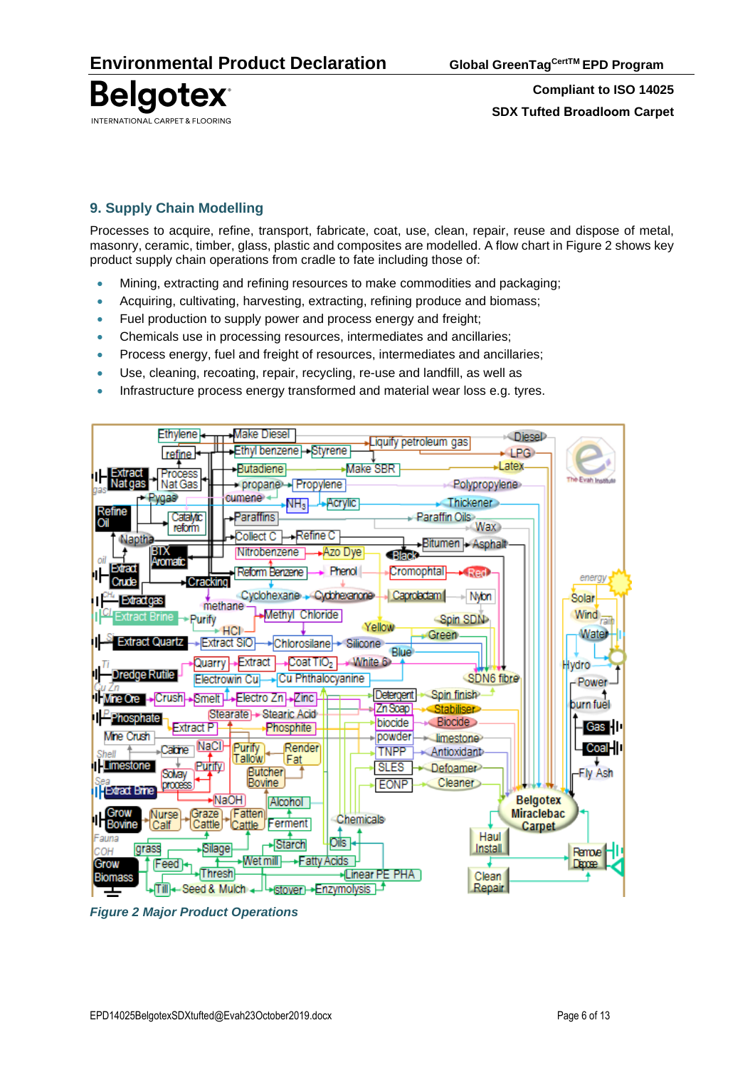

# **9. Supply Chain Modelling**

Processes to acquire, refine, transport, fabricate, coat, use, clean, repair, reuse and dispose of metal, masonry, ceramic, timber, glass, plastic and composites are modelled. A flow chart in Figure 2 shows key product supply chain operations from cradle to fate including those of:

- Mining, extracting and refining resources to make commodities and packaging;
- Acquiring, cultivating, harvesting, extracting, refining produce and biomass;
- Fuel production to supply power and process energy and freight;
- Chemicals use in processing resources, intermediates and ancillaries;
- Process energy, fuel and freight of resources, intermediates and ancillaries;
- Use, cleaning, recoating, repair, recycling, re-use and landfill, as well as
- Infrastructure process energy transformed and material wear loss e.g. tyres.



*Figure 2 Major Product Operations*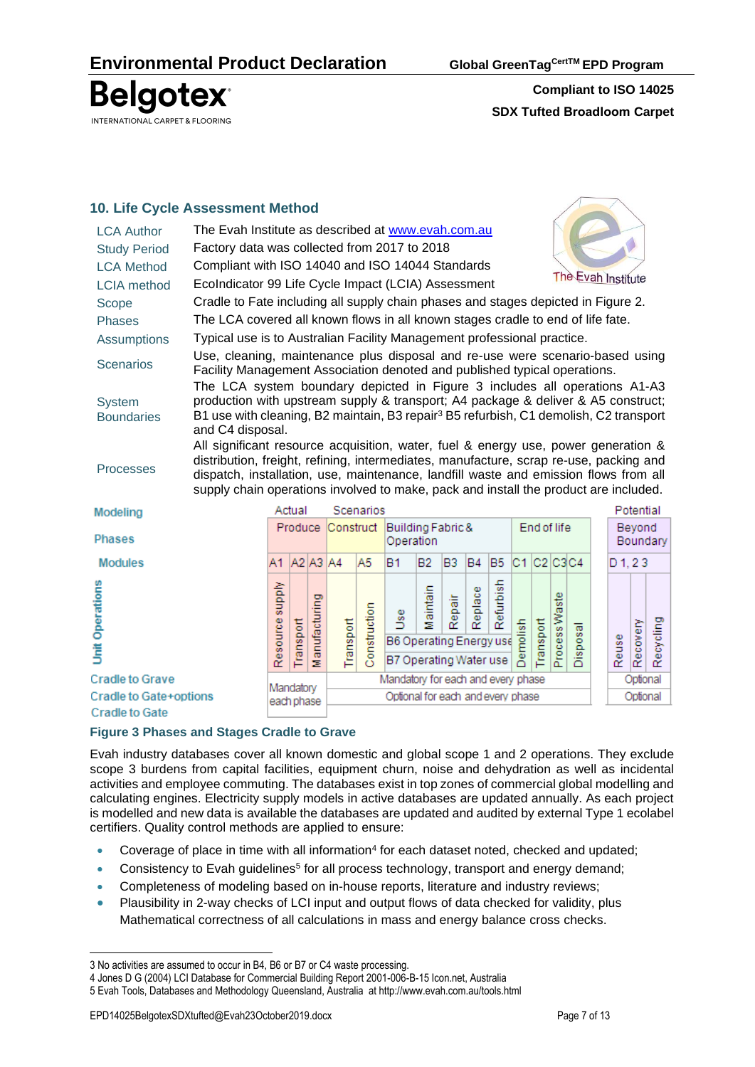**Belgotex** INTERNATIONAL CARPET & FLOORING

**Compliant to ISO 14025 SDX Tufted Broadloom Carpet**

# **10. Life Cycle Assessment Method**

| <b>LCA Author</b>                  | The Evah Institute as described at www.evah.com.au                                                                                                                                                                                                                                                                                                           |                 |                                                              |                   |           |              |                                                                 |                                          |        |           |                |                  |           |               |          |  |           |           |           |
|------------------------------------|--------------------------------------------------------------------------------------------------------------------------------------------------------------------------------------------------------------------------------------------------------------------------------------------------------------------------------------------------------------|-----------------|--------------------------------------------------------------|-------------------|-----------|--------------|-----------------------------------------------------------------|------------------------------------------|--------|-----------|----------------|------------------|-----------|---------------|----------|--|-----------|-----------|-----------|
| <b>Study Period</b>                | Factory data was collected from 2017 to 2018                                                                                                                                                                                                                                                                                                                 |                 |                                                              |                   |           |              |                                                                 |                                          |        |           |                |                  |           |               |          |  |           |           |           |
| <b>LCA Method</b>                  | Compliant with ISO 14040 and ISO 14044 Standards                                                                                                                                                                                                                                                                                                             |                 |                                                              |                   |           |              |                                                                 |                                          |        |           |                |                  |           |               |          |  |           |           |           |
| <b>LCIA</b> method                 | The Evah Institute<br>EcoIndicator 99 Life Cycle Impact (LCIA) Assessment                                                                                                                                                                                                                                                                                    |                 |                                                              |                   |           |              |                                                                 |                                          |        |           |                |                  |           |               |          |  |           |           |           |
| Scope                              | Cradle to Fate including all supply chain phases and stages depicted in Figure 2.                                                                                                                                                                                                                                                                            |                 |                                                              |                   |           |              |                                                                 |                                          |        |           |                |                  |           |               |          |  |           |           |           |
| <b>Phases</b>                      | The LCA covered all known flows in all known stages cradle to end of life fate.                                                                                                                                                                                                                                                                              |                 |                                                              |                   |           |              |                                                                 |                                          |        |           |                |                  |           |               |          |  |           |           |           |
| <b>Assumptions</b>                 | Typical use is to Australian Facility Management professional practice.                                                                                                                                                                                                                                                                                      |                 |                                                              |                   |           |              |                                                                 |                                          |        |           |                |                  |           |               |          |  |           |           |           |
| <b>Scenarios</b>                   | Use, cleaning, maintenance plus disposal and re-use were scenario-based using<br>Facility Management Association denoted and published typical operations.                                                                                                                                                                                                   |                 |                                                              |                   |           |              |                                                                 |                                          |        |           |                |                  |           |               |          |  |           |           |           |
| <b>System</b><br><b>Boundaries</b> | The LCA system boundary depicted in Figure 3 includes all operations A1-A3<br>production with upstream supply & transport; A4 package & deliver & A5 construct;<br>B1 use with cleaning, B2 maintain, B3 repair <sup>3</sup> B5 refurbish, C1 demolish, C2 transport<br>and C4 disposal.                                                                     |                 |                                                              |                   |           |              |                                                                 |                                          |        |           |                |                  |           |               |          |  |           |           |           |
| <b>Processes</b>                   | All significant resource acquisition, water, fuel & energy use, power generation &<br>distribution, freight, refining, intermediates, manufacture, scrap re-use, packing and<br>dispatch, installation, use, maintenance, landfill waste and emission flows from all<br>supply chain operations involved to make, pack and install the product are included. |                 |                                                              |                   |           |              |                                                                 |                                          |        |           |                |                  |           |               |          |  |           |           |           |
| Modeling                           |                                                                                                                                                                                                                                                                                                                                                              |                 | Actual                                                       |                   |           | Scenarios    |                                                                 |                                          |        |           |                |                  |           |               |          |  |           | Potential |           |
| <b>Phases</b>                      |                                                                                                                                                                                                                                                                                                                                                              |                 | Produce                                                      |                   |           |              |                                                                 | Construct Building Fabric &<br>Operation |        |           |                | End of life      |           |               |          |  | Beyond    | Boundary  |           |
| <b>Modules</b>                     |                                                                                                                                                                                                                                                                                                                                                              | A1.             | $A2$ A <sub>3</sub> $A4$                                     |                   |           | A5           | <b>B1</b>                                                       | B2.                                      | B3     | <b>B4</b> | B <sub>5</sub> | $C1$ $C2$ $C3C4$ |           |               |          |  | $D_1, 23$ |           |           |
| <b>Unit Operations</b>             |                                                                                                                                                                                                                                                                                                                                                              | Resource supply | Transport                                                    | anufacturing<br>Σ | Transport | Construction | <b>Jse</b><br>B6 Operating Energy use<br>B7 Operating Water use | Maintain                                 | Repair | Replace   | Refurbish      | molish<br>റ്     | Transport | Process Waste | Disposal |  | Reuse     | Recovery  | Recycling |
| <b>Cradle to Grave</b>             |                                                                                                                                                                                                                                                                                                                                                              |                 |                                                              |                   |           |              | Mandatory for each and every phase                              |                                          |        |           |                |                  |           |               |          |  |           | Optional  |           |
| <b>Cradle to Gate+options</b>      |                                                                                                                                                                                                                                                                                                                                                              |                 | Mandatory<br>Optional for each and every phase<br>ooda nhooc |                   |           |              |                                                                 |                                          |        | Optional  |                |                  |           |               |          |  |           |           |           |

**Cradle to Gate** 

#### **Figure 3 Phases and Stages Cradle to Grave**

Evah industry databases cover all known domestic and global scope 1 and 2 operations. They exclude scope 3 burdens from capital facilities, equipment churn, noise and dehydration as well as incidental activities and employee commuting. The databases exist in top zones of commercial global modelling and calculating engines. Electricity supply models in active databases are updated annually. As each project is modelled and new data is available the databases are updated and audited by external Type 1 ecolabel certifiers. Quality control methods are applied to ensure:

- Coverage of place in time with all information<sup>4</sup> for each dataset noted, checked and updated;
- Consistency to Evah guidelines<sup>5</sup> for all process technology, transport and energy demand;
- Completeness of modeling based on in-house reports, literature and industry reviews;
- Plausibility in 2-way checks of LCI input and output flows of data checked for validity, plus Mathematical correctness of all calculations in mass and energy balance cross checks.

<sup>3</sup> No activities are assumed to occur in B4, B6 or B7 or C4 waste processing.

<sup>4</sup> Jones D G (2004) LCI Database for Commercial Building Report 2001-006-B-15 Icon.net, Australia

<sup>5</sup> Evah Tools, Databases and Methodology Queensland, Australia at<http://www.evah.com.au/tools.html>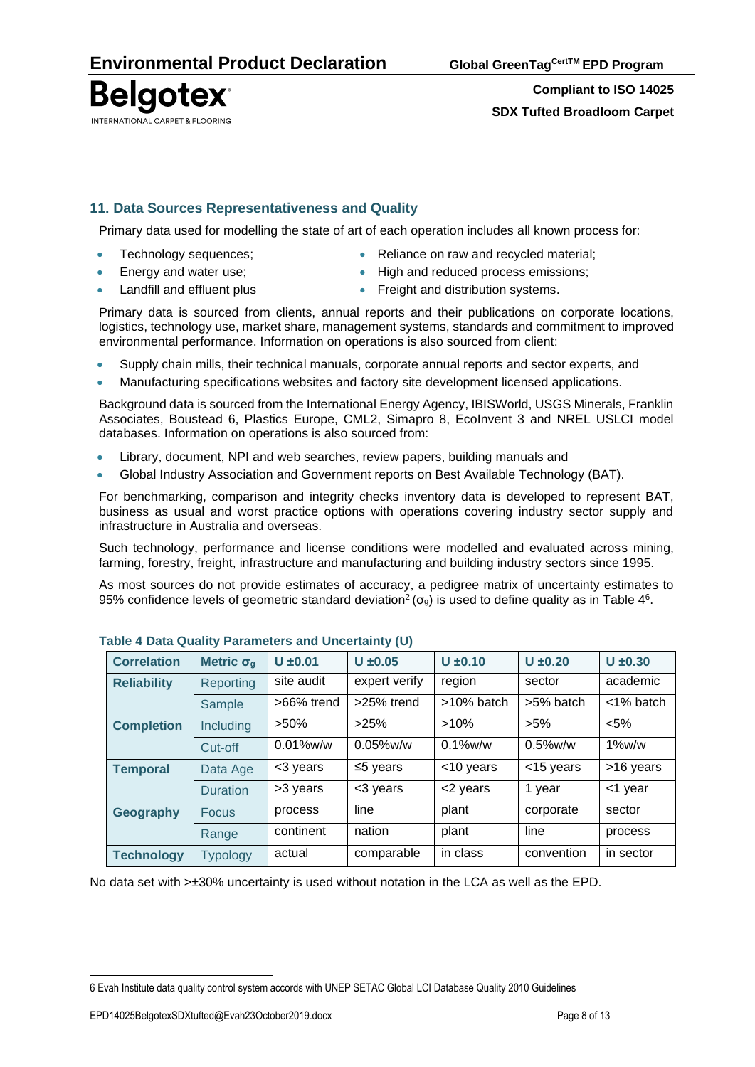**Belgotex** INTERNATIONAL CARPET & FLOORING

**Compliant to ISO 14025 SDX Tufted Broadloom Carpet**

## **11. Data Sources Representativeness and Quality**

Primary data used for modelling the state of art of each operation includes all known process for:

- 
- 
- **Fechnology sequences; •** Reliance on raw and recycled material;
	- **Energy and water use: •** High and reduced process emissions;
- Landfill and effluent plus **•** Freight and distribution systems.
- 

Primary data is sourced from clients, annual reports and their publications on corporate locations, logistics, technology use, market share, management systems, standards and commitment to improved environmental performance. Information on operations is also sourced from client:

- Supply chain mills, their technical manuals, corporate annual reports and sector experts, and
- Manufacturing specifications websites and factory site development licensed applications.

Background data is sourced from the International Energy Agency, IBISWorld, USGS Minerals, Franklin Associates, Boustead 6, Plastics Europe, CML2, Simapro 8, EcoInvent 3 and NREL USLCI model databases. Information on operations is also sourced from:

- Library, document, NPI and web searches, review papers, building manuals and
- Global Industry Association and Government reports on Best Available Technology (BAT).

For benchmarking, comparison and integrity checks inventory data is developed to represent BAT, business as usual and worst practice options with operations covering industry sector supply and infrastructure in Australia and overseas.

Such technology, performance and license conditions were modelled and evaluated across mining, farming, forestry, freight, infrastructure and manufacturing and building industry sectors since 1995.

As most sources do not provide estimates of accuracy, a pedigree matrix of uncertainty estimates to 95% confidence levels of geometric standard deviation<sup>2</sup> ( $\sigma_g$ ) is used to define quality as in Table 4<sup>6</sup>.

| <b>Correlation</b> | Metric $\sigma_q$ | $U \pm 0.01$ | $U \pm 0.05$   | $U \pm 0.10$  | $U \pm 0.20$ | $U \pm 0.30$ |  |
|--------------------|-------------------|--------------|----------------|---------------|--------------|--------------|--|
| <b>Reliability</b> | Reporting         | site audit   | expert verify  | region        | sector       | academic     |  |
|                    | Sample            | >66% trend   | >25% trend     | $>10\%$ batch | >5% batch    | $<$ 1% batch |  |
| <b>Completion</b>  | Including         | $>50\%$      | >25%           | $>10\%$       | $>5\%$       | $< 5\%$      |  |
|                    | Cut-off           | $0.01\%$ w/w | $0.05\%$ w/w   | $0.1\%$ w/w   | $0.5\%$ w/w  | $1\%$ w/w    |  |
| <b>Temporal</b>    | Data Age          | <3 years     | $\leq$ 5 years | <10 years     | <15 years    | >16 years    |  |
|                    | <b>Duration</b>   | >3 years     | <3 years       | <2 years      | 1 year       | <1 year      |  |
| Geography          | <b>Focus</b>      | process      | line           | plant         | corporate    | sector       |  |
|                    | Range             | continent    | nation         | plant         | line         | process      |  |
| <b>Technology</b>  | <b>Typology</b>   | actual       | comparable     | in class      | convention   | in sector    |  |

#### **Table 4 Data Quality Parameters and Uncertainty (U)**

No data set with >±30% uncertainty is used without notation in the LCA as well as the EPD.

<sup>6</sup> Evah Institute data quality control system accords with UNEP SETAC Global LCI Database Quality 2010 Guidelines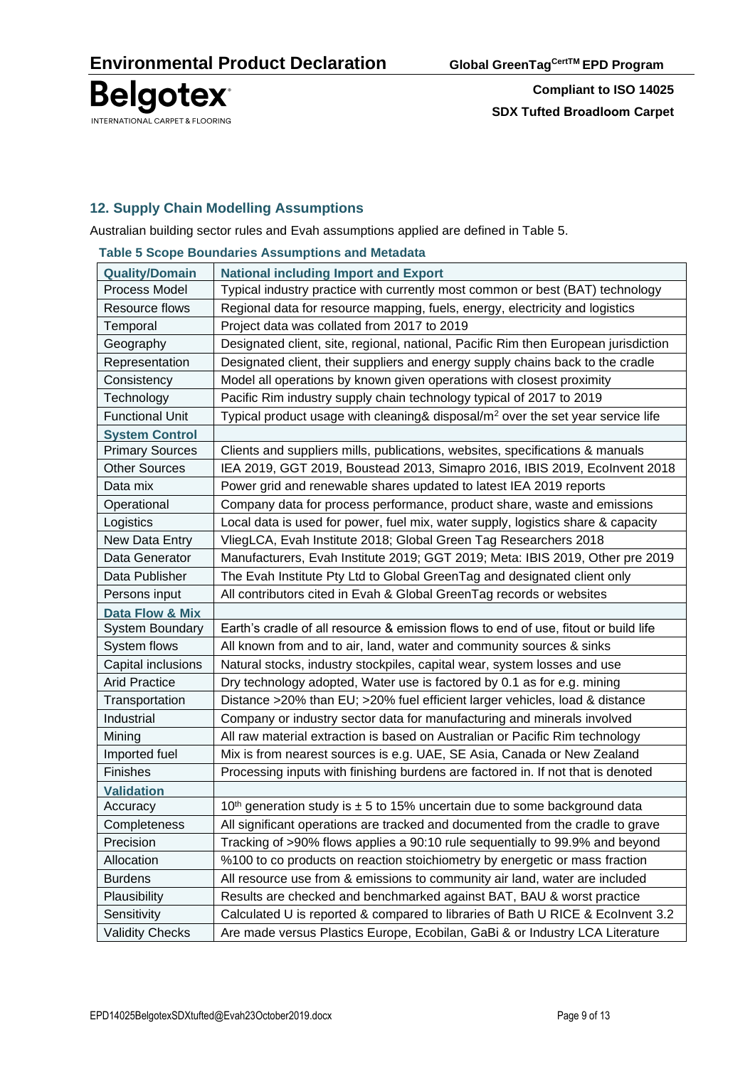

## **12. Supply Chain Modelling Assumptions**

Australian building sector rules and Evah assumptions applied are defined in Table 5.

|                        | rable 5 Scope Boundaries Assumptions and Metadata                                           |
|------------------------|---------------------------------------------------------------------------------------------|
| <b>Quality/Domain</b>  | <b>National including Import and Export</b>                                                 |
| Process Model          | Typical industry practice with currently most common or best (BAT) technology               |
| Resource flows         | Regional data for resource mapping, fuels, energy, electricity and logistics                |
| Temporal               | Project data was collated from 2017 to 2019                                                 |
| Geography              | Designated client, site, regional, national, Pacific Rim then European jurisdiction         |
| Representation         | Designated client, their suppliers and energy supply chains back to the cradle              |
| Consistency            | Model all operations by known given operations with closest proximity                       |
| Technology             | Pacific Rim industry supply chain technology typical of 2017 to 2019                        |
| <b>Functional Unit</b> | Typical product usage with cleaning& disposal/m <sup>2</sup> over the set year service life |
| <b>System Control</b>  |                                                                                             |
| <b>Primary Sources</b> | Clients and suppliers mills, publications, websites, specifications & manuals               |
| <b>Other Sources</b>   | IEA 2019, GGT 2019, Boustead 2013, Simapro 2016, IBIS 2019, Ecolnvent 2018                  |
| Data mix               | Power grid and renewable shares updated to latest IEA 2019 reports                          |
| Operational            | Company data for process performance, product share, waste and emissions                    |
| Logistics              | Local data is used for power, fuel mix, water supply, logistics share & capacity            |
| New Data Entry         | VliegLCA, Evah Institute 2018; Global Green Tag Researchers 2018                            |
| Data Generator         | Manufacturers, Evah Institute 2019; GGT 2019; Meta: IBIS 2019, Other pre 2019               |
| Data Publisher         | The Evah Institute Pty Ltd to Global GreenTag and designated client only                    |
| Persons input          | All contributors cited in Evah & Global GreenTag records or websites                        |
| Data Flow & Mix        |                                                                                             |
| <b>System Boundary</b> | Earth's cradle of all resource & emission flows to end of use, fitout or build life         |
| System flows           | All known from and to air, land, water and community sources & sinks                        |
| Capital inclusions     | Natural stocks, industry stockpiles, capital wear, system losses and use                    |
| <b>Arid Practice</b>   | Dry technology adopted, Water use is factored by 0.1 as for e.g. mining                     |
| Transportation         | Distance >20% than EU; >20% fuel efficient larger vehicles, load & distance                 |
| Industrial             | Company or industry sector data for manufacturing and minerals involved                     |
| Mining                 | All raw material extraction is based on Australian or Pacific Rim technology                |
| Imported fuel          | Mix is from nearest sources is e.g. UAE, SE Asia, Canada or New Zealand                     |
| Finishes               | Processing inputs with finishing burdens are factored in. If not that is denoted            |
| <b>Validation</b>      |                                                                                             |
| Accuracy               | 10 <sup>th</sup> generation study is $\pm$ 5 to 15% uncertain due to some background data   |
| Completeness           | All significant operations are tracked and documented from the cradle to grave              |
| Precision              | Tracking of >90% flows applies a 90:10 rule sequentially to 99.9% and beyond                |
| Allocation             | %100 to co products on reaction stoichiometry by energetic or mass fraction                 |
| <b>Burdens</b>         | All resource use from & emissions to community air land, water are included                 |
| Plausibility           | Results are checked and benchmarked against BAT, BAU & worst practice                       |
| Sensitivity            | Calculated U is reported & compared to libraries of Bath U RICE & Ecolnvent 3.2             |
| <b>Validity Checks</b> | Are made versus Plastics Europe, Ecobilan, GaBi & or Industry LCA Literature                |

**Table 5 Scope Boundaries Assumptions and Metadata**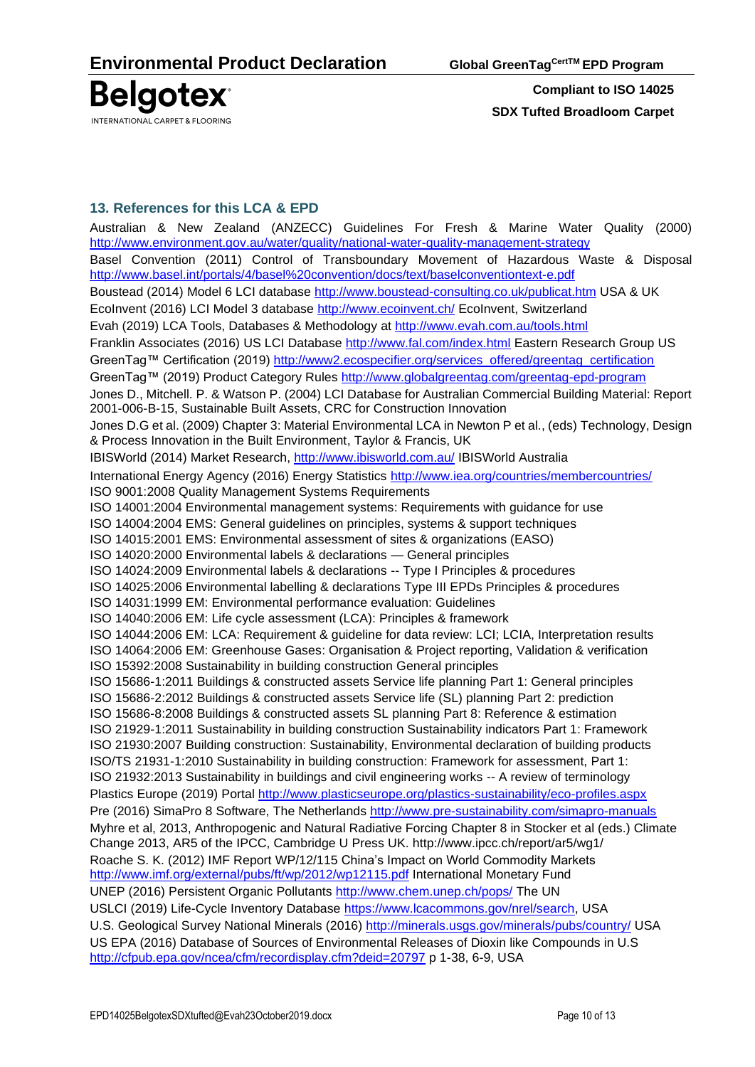

## **13. References for this LCA & EPD**

Australian & New Zealand [\(ANZECC\) Guidelines For Fresh & Marine Water Quality](http://www.environment.gov.au/topics/water/water-quality/national-water-quality-management-strategy) (2000) <http://www.environment.gov.au/water/quality/national-water-quality-management-strategy> Basel Convention (2011) Control of Transboundary Movement of Hazardous Waste & Disposal <http://www.basel.int/portals/4/basel%20convention/docs/text/baselconventiontext-e.pdf> Boustead (2014) Model 6 LCI database<http://www.boustead-consulting.co.uk/publicat.htm> USA & UK EcoInvent (2016) LCI Model 3 database<http://www.ecoinvent.ch/> EcoInvent, Switzerland Evah (2019) LCA Tools, Databases & Methodology at<http://www.evah.com.au/tools.html> Franklin Associates (2016) US LCI Database <http://www.fal.com/index.html> Eastern Research Group US GreenTag™ Certification (2019) [http://www2.ecospecifier.org/services\\_offered/greentag\\_certification](http://www2.ecospecifier.org/services_offered/greentag_certification) GreenTag™ (2019) Product Category Rules<http://www.globalgreentag.com/greentag-epd-program> Jones D., Mitchell. P. & Watson P. (2004) LCI Database for Australian Commercial Building Material: Report 2001-006-B-15, Sustainable Built Assets, CRC for Construction Innovation Jones D.G et al. (2009) Chapter 3: Material Environmental LCA in Newton P et al., (eds) Technology, Design & Process Innovation in the Built Environment, Taylor & Francis, UK IBISWorld (2014) Market Research,<http://www.ibisworld.com.au/> IBISWorld Australia International Energy Agency (2016) Energy Statistics<http://www.iea.org/countries/membercountries/> ISO 9001:2008 Quality Management Systems Requirements ISO 14001:2004 Environmental management systems: Requirements with guidance for use ISO 14004:2004 EMS: General guidelines on principles, systems & support techniques ISO 14015:2001 EMS: Environmental assessment of sites & organizations (EASO) ISO 14020:2000 Environmental labels & declarations — General principles ISO 14024:2009 Environmental labels & declarations -- Type I Principles & procedures ISO 14025:2006 Environmental labelling & declarations Type III EPDs Principles & procedures ISO 14031:1999 EM: Environmental performance evaluation: Guidelines ISO 14040:2006 EM: Life cycle assessment (LCA): Principles & framework ISO 14044:2006 EM: LCA: Requirement & guideline for data review: LCI; LCIA, Interpretation results ISO 14064:2006 EM: Greenhouse Gases: Organisation & Project reporting, Validation & verification ISO 15392:2008 Sustainability in building construction General principles ISO 15686-1:2011 Buildings & constructed assets Service life planning Part 1: General principles ISO 15686-2:2012 Buildings & constructed assets Service life (SL) planning Part 2: prediction ISO 15686-8:2008 Buildings & constructed assets SL planning Part 8: Reference & estimation ISO 21929-1:2011 Sustainability in building construction Sustainability indicators Part 1: Framework ISO 21930:2007 Building construction: Sustainability, Environmental declaration of building products ISO/TS 21931-1:2010 Sustainability in building construction: Framework for assessment, Part 1: ISO 21932:2013 Sustainability in buildings and civil engineering works -- A review of terminology Plastics Europe (2019) Portal<http://www.plasticseurope.org/plastics-sustainability/eco-profiles.aspx> Pre (2016) SimaPro 8 Software, The Netherlands<http://www.pre-sustainability.com/simapro-manuals> Myhre et al, 2013, Anthropogenic and Natural Radiative Forcing Chapter 8 in Stocker et al (eds.) Climate Change 2013, AR5 of the IPCC, Cambridge U Press UK.<http://www.ipcc.ch/report/ar5/wg1/> Roache S. K. (2012) IMF Report WP/12/115 China's Impact on World Commodity Markets <http://www.imf.org/external/pubs/ft/wp/2012/wp12115.pdf> International Monetary Fund UNEP (2016) Persistent Organic Pollutants<http://www.chem.unep.ch/pops/> The UN USLCI (2019) Life-Cycle Inventory Database [https://www.lcacommons.gov/nrel/search,](https://www.lcacommons.gov/nrel/search) USA U.S. Geological Survey National Minerals (2016)<http://minerals.usgs.gov/minerals/pubs/country/> USA US EPA (2016) Database of Sources of Environmental Releases of Dioxin like Compounds in U.S <http://cfpub.epa.gov/ncea/cfm/recordisplay.cfm?deid=20797> p 1-38, 6-9, USA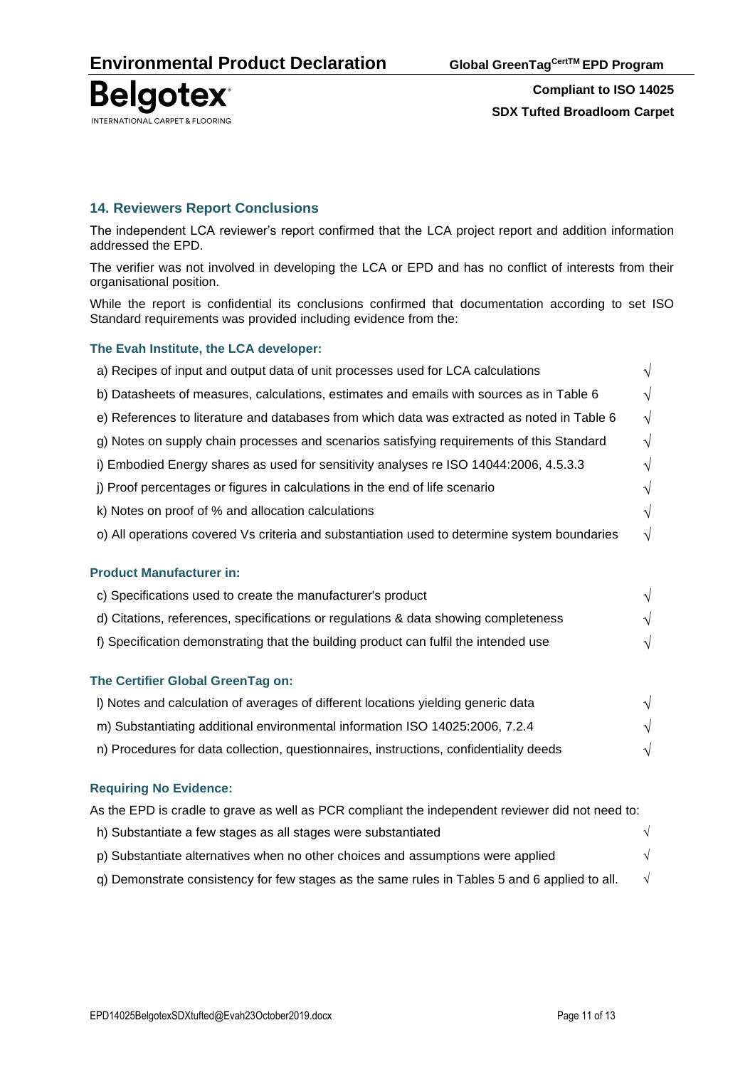

## **14. Reviewers Report Conclusions**

The independent LCA reviewer's report confirmed that the LCA project report and addition information addressed the EPD.

The verifier was not involved in developing the LCA or EPD and has no conflict of interests from their organisational position.

While the report is confidential its conclusions confirmed that documentation according to set ISO Standard requirements was provided including evidence from the:

#### **The Evah Institute, the LCA developer:**

| a) Recipes of input and output data of unit processes used for LCA calculations              | V          |
|----------------------------------------------------------------------------------------------|------------|
| b) Datasheets of measures, calculations, estimates and emails with sources as in Table 6     | $\sqrt{}$  |
| e) References to literature and databases from which data was extracted as noted in Table 6  | $\sqrt{ }$ |
| g) Notes on supply chain processes and scenarios satisfying requirements of this Standard    | $\sqrt{ }$ |
| i) Embodied Energy shares as used for sensitivity analyses re ISO 14044:2006, 4.5.3.3        | $\sqrt{}$  |
| j) Proof percentages or figures in calculations in the end of life scenario                  | $\sqrt{}$  |
| k) Notes on proof of % and allocation calculations                                           | $\sqrt{}$  |
| o) All operations covered Vs criteria and substantiation used to determine system boundaries | $\sqrt{ }$ |
| <b>Product Manufacturer in:</b>                                                              |            |
| c) Specifications used to create the manufacturer's product                                  | $\sqrt{}$  |
| d) Citations, references, specifications or regulations & data showing completeness          | V          |
| f) Specification demonstrating that the building product can fulfil the intended use         | $\sqrt{}$  |
|                                                                                              |            |
| The Certifier Global GreenTag on:                                                            |            |
| I) Notes and calculation of averages of different locations yielding generic data            |            |
|                                                                                              |            |

- m) Substantiating additional environmental information ISO 14025:2006, 7.2.4  $\sqrt{ }$
- n) Procedures for data collection, questionnaires, instructions, confidentiality deeds  $\sqrt{}$

#### **Requiring No Evidence:**

| As the EPD is cradle to grave as well as PCR compliant the independent reviewer did not need to: |            |
|--------------------------------------------------------------------------------------------------|------------|
| h) Substantiate a few stages as all stages were substantiated                                    | $\sqrt{ }$ |
| p) Substantiate alternatives when no other choices and assumptions were applied                  |            |
| g) Demonstrate consistency for few stages as the same rules in Tables 5 and 6 applied to all.    | $\sqrt{ }$ |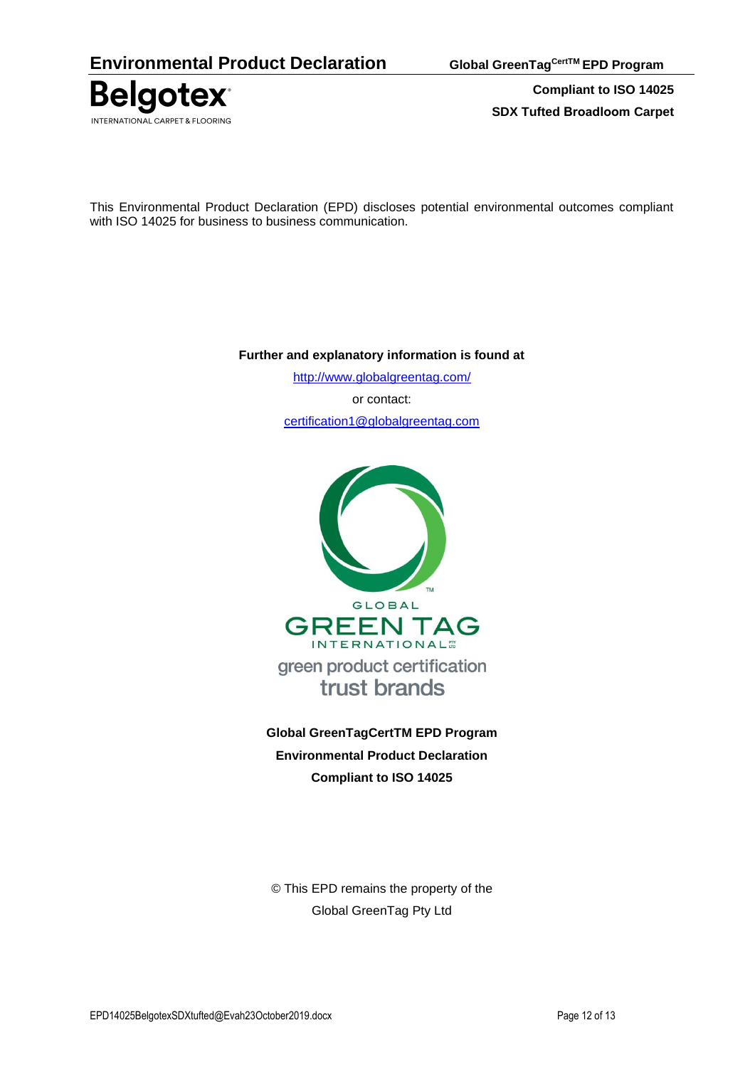

This Environmental Product Declaration (EPD) discloses potential environmental outcomes compliant with ISO 14025 for business to business communication.

### **Further and explanatory information is found at**

<http://www.globalgreentag.com/> or contact: [certification1@globalgreentag.com](mailto:certification1@globalgreentag.com)



**Global GreenTagCertTM EPD Program Environmental Product Declaration Compliant to ISO 14025**

© This EPD remains the property of the Global GreenTag Pty Ltd